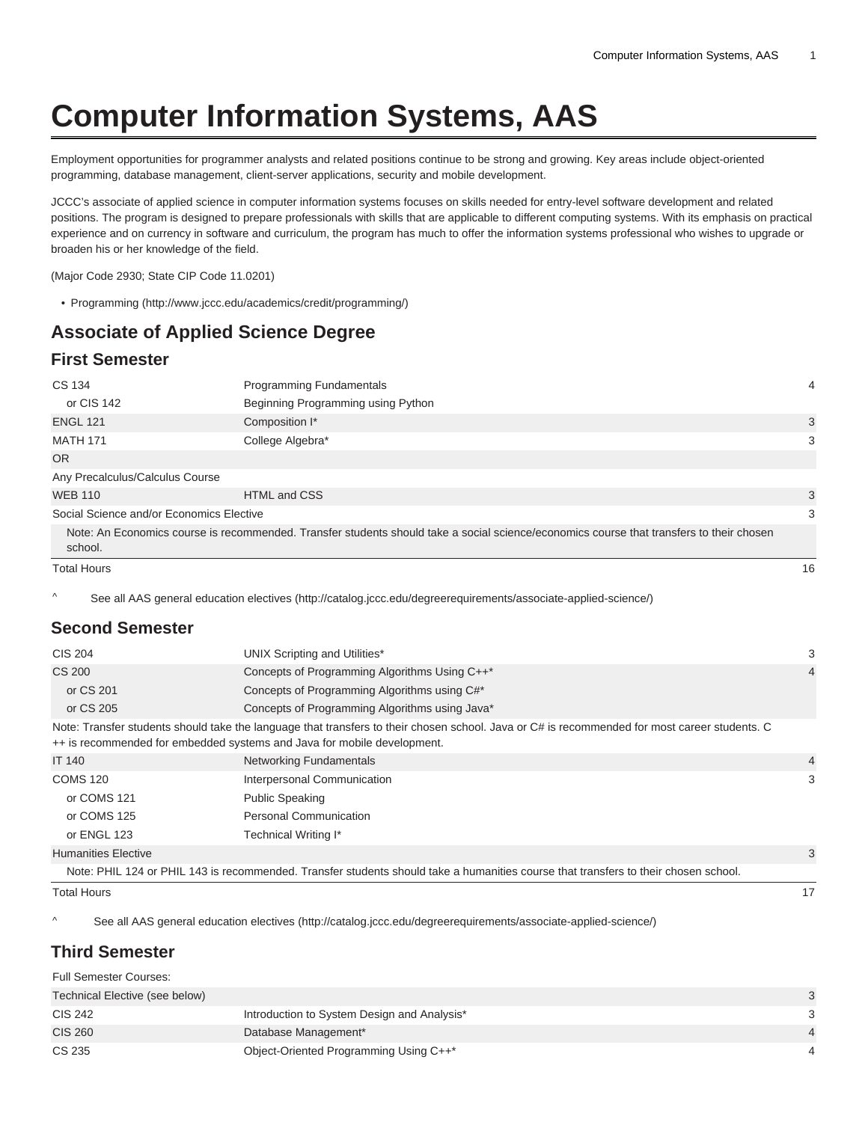# **Computer Information Systems, AAS**

Employment opportunities for programmer analysts and related positions continue to be strong and growing. Key areas include object-oriented programming, database management, client-server applications, security and mobile development.

JCCC's associate of applied science in computer information systems focuses on skills needed for entry-level software development and related positions. The program is designed to prepare professionals with skills that are applicable to different computing systems. With its emphasis on practical experience and on currency in software and curriculum, the program has much to offer the information systems professional who wishes to upgrade or broaden his or her knowledge of the field.

(Major Code 2930; State CIP Code 11.0201)

• [Programming](http://www.jccc.edu/academics/credit/programming/) ([http://www.jccc.edu/academics/credit/programming/\)](http://www.jccc.edu/academics/credit/programming/)

## **Associate of Applied Science Degree**

#### **First Semester**

| CS 134                                   | <b>Programming Fundamentals</b>                                                                                                          | 4  |
|------------------------------------------|------------------------------------------------------------------------------------------------------------------------------------------|----|
| or CIS 142                               | Beginning Programming using Python                                                                                                       |    |
| <b>ENGL 121</b>                          | Composition I*                                                                                                                           | 3  |
| <b>MATH 171</b>                          | College Algebra*                                                                                                                         | 3  |
| <b>OR</b>                                |                                                                                                                                          |    |
| Any Precalculus/Calculus Course          |                                                                                                                                          |    |
| <b>WEB 110</b>                           | HTML and CSS                                                                                                                             | 3  |
| Social Science and/or Economics Elective |                                                                                                                                          | 3  |
| school.                                  | Note: An Economics course is recommended. Transfer students should take a social science/economics course that transfers to their chosen |    |
| <b>Total Hours</b>                       |                                                                                                                                          | 16 |

^ [See all AAS general education electives](http://catalog.jccc.edu/degreerequirements/associate-applied-science/) (<http://catalog.jccc.edu/degreerequirements/associate-applied-science/>)

#### **Second Semester**

| <b>CIS 204</b>             | UNIX Scripting and Utilities*                                                                                                                                                                                            | 3              |
|----------------------------|--------------------------------------------------------------------------------------------------------------------------------------------------------------------------------------------------------------------------|----------------|
| CS 200                     | Concepts of Programming Algorithms Using C++*                                                                                                                                                                            | $\overline{4}$ |
| or CS 201                  | Concepts of Programming Algorithms using C#*                                                                                                                                                                             |                |
| or CS 205                  | Concepts of Programming Algorithms using Java*                                                                                                                                                                           |                |
|                            | Note: Transfer students should take the language that transfers to their chosen school. Java or C# is recommended for most career students. C<br>++ is recommended for embedded systems and Java for mobile development. |                |
| <b>IT 140</b>              | Networking Fundamentals                                                                                                                                                                                                  | $\overline{4}$ |
| <b>COMS 120</b>            | Interpersonal Communication                                                                                                                                                                                              | 3              |
| or COMS 121                | <b>Public Speaking</b>                                                                                                                                                                                                   |                |
| or COMS 125                | <b>Personal Communication</b>                                                                                                                                                                                            |                |
| or ENGL 123                | Technical Writing I*                                                                                                                                                                                                     |                |
| <b>Humanities Elective</b> |                                                                                                                                                                                                                          | 3              |
|                            | Note: PHIL 124 or PHIL 143 is recommended. Transfer students should take a humanities course that transfers to their chosen school.                                                                                      |                |
| <b>Total Hours</b>         |                                                                                                                                                                                                                          | 17             |

^ [See all AAS general education electives](http://catalog.jccc.edu/degreerequirements/associate-applied-science/) ([http://catalog.jccc.edu/degreerequirements/associate-applied-science/\)](http://catalog.jccc.edu/degreerequirements/associate-applied-science/)

#### **Third Semester**

Full Semester Courses: Technical Elective (see below) 3 CIS 242 **Introduction to System Design and Analysis\*** 3 3 CIS 260 Database Management\* 4 Database Management\* 4 Database 1 Database 1 Database 1 Database 1 Database 1 D CS 235 CS 235 CS 235 CS 235 CS 235 CS 235 CS 235 CS 235 CS 235 CS 235 CS 235 CS 235 CS 235 CS 235 CS 235 CS 236 CS 236 CS 236 CS 236 CS 236 CS 236 CS 236 CS 236 CS 236 CS 236 CS 236 CS 236 CS 236 CS 236 CS 236 CS 236 CS 23